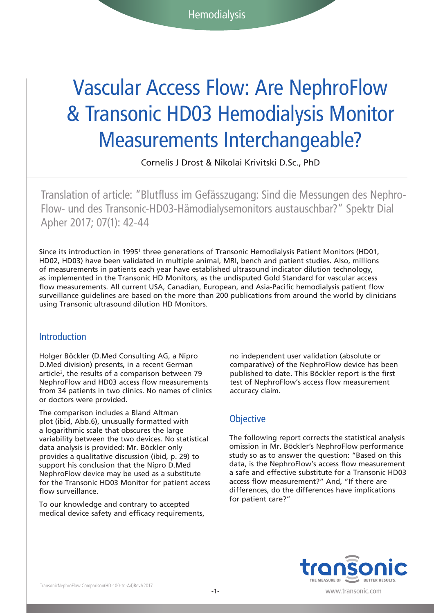# Vascular Access Flow: Are NephroFlow & Transonic HD03 Hemodialysis Monitor Measurements Interchangeable?

Cornelis J Drost & Nikolai Krivitski D.Sc., PhD

Translation of article: "Blutfluss im Gefässzugang: Sind die Messungen des Nephro-Flow- und des Transonic-HD03-Hämodialysemonitors austauschbar?" Spektr Dial Apher 2017; 07(1): 42-44

Since its introduction in 1995<sup>1</sup> three generations of Transonic Hemodialysis Patient Monitors (HD01, HD02, HD03) have been validated in multiple animal, MRI, bench and patient studies. Also, millions of measurements in patients each year have established ultrasound indicator dilution technology, as implemented in the Transonic HD Monitors, as the undisputed Gold Standard for vascular access flow measurements. All current USA, Canadian, European, and Asia-Pacific hemodialysis patient flow surveillance guidelines are based on the more than 200 publications from around the world by clinicians using Transonic ultrasound dilution HD Monitors.

#### **Introduction**

Holger Böckler (D.Med Consulting AG, a Nipro D.Med division) presents, in a recent German article<sup>2</sup>, the results of a comparison between 79 NephroFlow and HD03 access flow measurements from 34 patients in two clinics. No names of clinics or doctors were provided.

The comparison includes a Bland Altman plot (ibid, Abb.6), unusually formatted with a logarithmic scale that obscures the large variability between the two devices. No statistical data analysis is provided: Mr. Böckler only provides a qualitative discussion (ibid, p. 29) to support his conclusion that the Nipro D.Med NephroFlow device may be used as a substitute for the Transonic HD03 Monitor for patient access flow surveillance.

To our knowledge and contrary to accepted medical device safety and efficacy requirements, no independent user validation (absolute or comparative) of the NephroFlow device has been published to date. This Böckler report is the first test of NephroFlow's access flow measurement accuracy claim.

#### **Objective**

The following report corrects the statistical analysis omission in Mr. Böckler's NephroFlow performance study so as to answer the question: "Based on this data, is the NephroFlow's access flow measurement a safe and effective substitute for a Transonic HD03 access flow measurement?" And, "If there are differences, do the differences have implications for patient care?"



www.transonic.com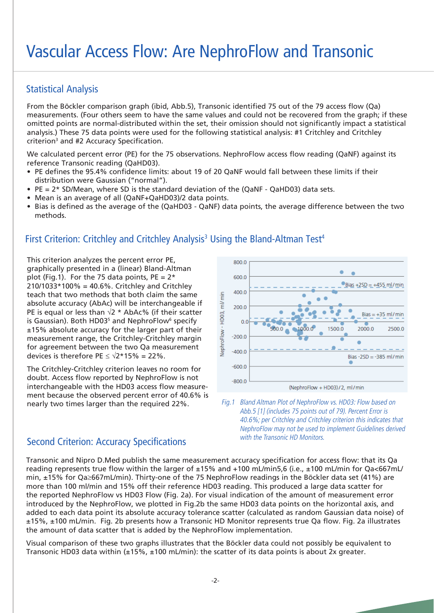# Vascular Access Flow: Are NephroFlow and Transonic

### Statistical Analysis

From the Böckler comparison graph (ibid, Abb.5), Transonic identified 75 out of the 79 access flow (Qa) measurements. (Four others seem to have the same values and could not be recovered from the graph; if these omitted points are normal-distributed within the set, their omission should not significantly impact a statistical analysis.) These 75 data points were used for the following statistical analysis: #1 Critchley and Critchley criterion3 and #2 Accuracy Specification.

We calculated percent error (PE) for the 75 observations. NephroFlow access flow reading (QaNF) against its reference Transonic reading (QaHD03).

- PE defines the 95.4% confidence limits: about 19 of 20 QaNF would fall between these limits if their distribution were Gaussian ("normal").
- PE = 2\* SD/Mean, where SD is the standard deviation of the (QaNF QaHD03) data sets.
- Mean is an average of all (QaNF+QaHD03)/2 data points.
- Bias is defined as the average of the (QaHD03 QaNF) data points, the average difference between the two methods.

### First Criterion: Critchley and Critchley Analysis<sup>3</sup> Using the Bland-Altman Test<sup>4</sup>

This criterion analyzes the percent error PE, graphically presented in a (linear) Bland-Altman plot (Fig.1). For the 75 data points,  $PE = 2*$ 210/1033\*100% = 40.6%. Critchley and Critchley teach that two methods that both claim the same absolute accuracy (AbAc) will be interchangeable if PE is equal or less than  $\sqrt{2}$  \* AbAc% (if their scatter is Gaussian). Both HD03<sup>5</sup> and NephroFlow<sup>6</sup> specify ±15% absolute accuracy for the larger part of their measurement range, the Critchley-Critchley margin for agreement between the two Qa measurement devices is therefore PE  $\leq \sqrt{2*15\%} = 22\%$ .

The Critchley-Critchley criterion leaves no room for doubt. Access flow reported by NephroFlow is not interchangeable with the HD03 access flow measurement because the observed percent error of 40.6% is nearly two times larger than the required 22%.



Fig.1 Bland Altman Plot of NephroFlow vs. HD03: Flow based on Abb.5 [1] (includes 75 points out of 79). Percent Error is 40.6%; per Critchley and Critchley criterion this indicates that NephroFlow may not be used to implement Guidelines derived with the Transonic HD Monitors.

#### Second Criterion: Accuracy Specifications

Transonic and Nipro D.Med publish the same measurement accuracy specification for access flow: that its Qa reading represents true flow within the larger of ±15% and +100 mL/min5,6 (i.e., ±100 mL/min for Qa<667mL/ min, ±15% for Qa≥667mL/min). Thirty-one of the 75 NephroFlow readings in the Böckler data set (41%) are more than 100 ml/min and 15% off their reference HD03 reading. This produced a large data scatter for the reported NephroFlow vs HD03 Flow (Fig. 2a). For visual indication of the amount of measurement error introduced by the NephroFlow, we plotted in Fig.2b the same HD03 data points on the horizontal axis, and added to each data point its absolute accuracy tolerance scatter (calculated as random Gaussian data noise) of ±15%, ±100 mL/min. Fig. 2b presents how a Transonic HD Monitor represents true Qa flow. Fig. 2a illustrates the amount of data scatter that is added by the NephroFlow implementation.

Visual comparison of these two graphs illustrates that the Böckler data could not possibly be equivalent to Transonic HD03 data within  $(\pm 15\%, \pm 100 \text{ mL/min})$ : the scatter of its data points is about 2x greater.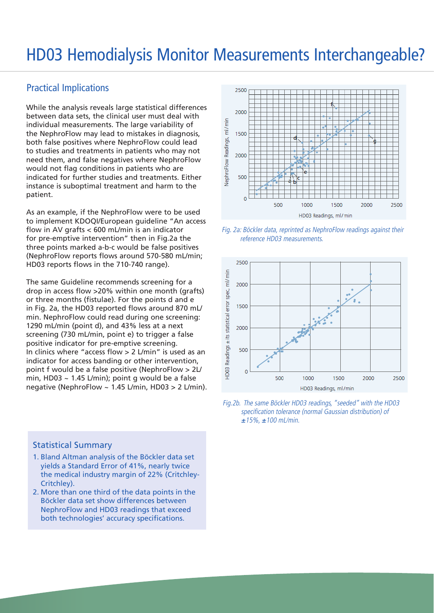# HD03 Hemodialysis Monitor Measurements Interchangeable?

#### Practical Implications

While the analysis reveals large statistical differences between data sets, the clinical user must deal with individual measurements. The large variability of the NephroFlow may lead to mistakes in diagnosis, both false positives where NephroFlow could lead to studies and treatments in patients who may not need them, and false negatives where NephroFlow would not flag conditions in patients who are indicated for further studies and treatments. Either instance is suboptimal treatment and harm to the patient.

As an example, if the NephroFlow were to be used to implement KDOQI/European guideline "An access flow in AV grafts < 600 mL/min is an indicator for pre-emptive intervention" then in Fig.2a the three points marked a-b-c would be false positives (NephroFlow reports flows around 570-580 mL/min; HD03 reports flows in the 710-740 range).

The same Guideline recommends screening for a drop in access flow >20% within one month (grafts) or three months (fistulae). For the points d and e in Fig. 2a, the HD03 reported flows around 870 mL/ min. NephroFlow could read during one screening: 1290 mL/min (point d), and 43% less at a next screening (730 mL/min, point e) to trigger a false positive indicator for pre-emptive screening. In clinics where "access flow > 2 L/min" is used as an indicator for access banding or other intervention, point f would be a false positive (NephroFlow > 2L/ min, HD03 ~ 1.45 L/min); point g would be a false negative (NephroFlow ~ 1.45 L/min, HD03 > 2 L/min).

#### Statistical Summary

- 1. Bland Altman analysis of the Böckler data set yields a Standard Error of 41%, nearly twice the medical industry margin of 22% (Critchley-Critchley).
- 2. More than one third of the data points in the Böckler data set show differences between NephroFlow and HD03 readings that exceed both technologies' accuracy specifications.



Fig. 2a: Böckler data, reprinted as NephroFlow readings against their reference HD03 measurements.



Fig.2b. The same Böckler HD03 readings, "seeded" with the HD03 specification tolerance (normal Gaussian distribution) of  $±15%$ , ±100 mL/min.